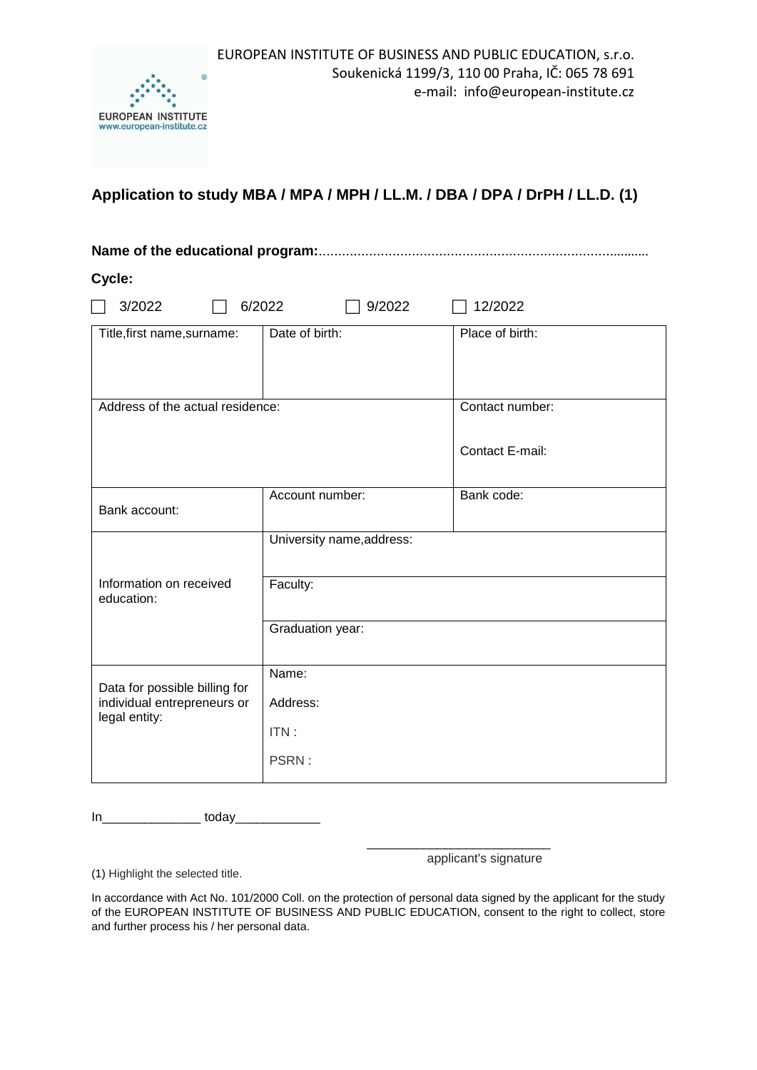

# **Application to study MBA / MPA / MPH / LL.M. / DBA / DPA / DrPH / LL.D. (1)**

## **Name of the educational program:**......................................................................................

**Cycle:**

| 3/2022<br>6/2022<br>9/2022<br>12/2022        |                           |                 |
|----------------------------------------------|---------------------------|-----------------|
| Title, first name, surname:                  | Date of birth:            | Place of birth: |
| Address of the actual residence:             |                           | Contact number: |
|                                              |                           | Contact E-mail: |
| Bank account:                                | Account number:           | Bank code:      |
|                                              | University name, address: |                 |
| Information on received<br>education:        | Faculty:                  |                 |
|                                              | Graduation year:          |                 |
| Data for possible billing for                | Name:                     |                 |
| individual entrepreneurs or<br>legal entity: | Address:                  |                 |
|                                              | ITN:                      |                 |
|                                              | PSRN:                     |                 |

In\_\_\_\_\_\_\_\_\_\_\_\_\_\_ today\_\_\_\_\_\_\_\_\_\_\_\_

applicant's signature

(1) Highlight the selected title.

In accordance with Act No. 101/2000 Coll. on the protection of personal data signed by the applicant for the study of the EUROPEAN INSTITUTE OF BUSINESS AND PUBLIC EDUCATION, consent to the right to collect, store and further process his / her personal data.

 $\overline{\phantom{a}}$  , and the contract of the contract of the contract of the contract of the contract of the contract of the contract of the contract of the contract of the contract of the contract of the contract of the contrac